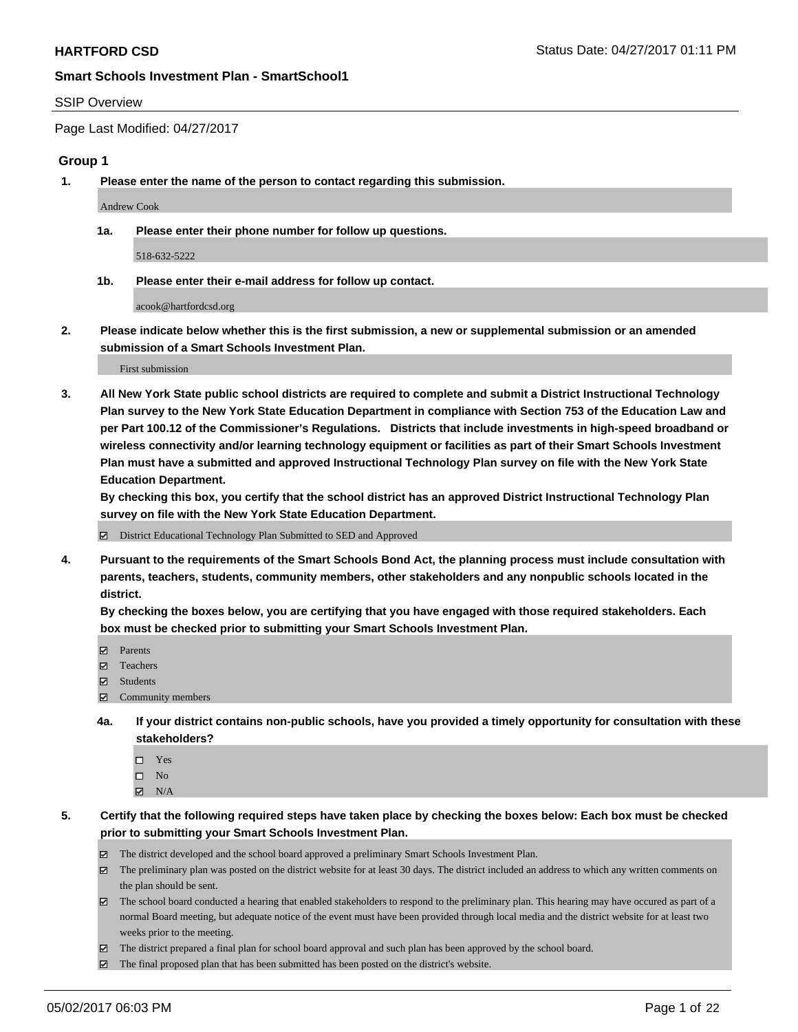#### SSIP Overview

Page Last Modified: 04/27/2017

### **Group 1**

**1. Please enter the name of the person to contact regarding this submission.**

Andrew Cook

**1a. Please enter their phone number for follow up questions.**

518-632-5222

**1b. Please enter their e-mail address for follow up contact.**

acook@hartfordcsd.org

**2. Please indicate below whether this is the first submission, a new or supplemental submission or an amended submission of a Smart Schools Investment Plan.**

First submission

**3. All New York State public school districts are required to complete and submit a District Instructional Technology Plan survey to the New York State Education Department in compliance with Section 753 of the Education Law and per Part 100.12 of the Commissioner's Regulations. Districts that include investments in high-speed broadband or wireless connectivity and/or learning technology equipment or facilities as part of their Smart Schools Investment Plan must have a submitted and approved Instructional Technology Plan survey on file with the New York State Education Department.** 

**By checking this box, you certify that the school district has an approved District Instructional Technology Plan survey on file with the New York State Education Department.**

District Educational Technology Plan Submitted to SED and Approved

**4. Pursuant to the requirements of the Smart Schools Bond Act, the planning process must include consultation with parents, teachers, students, community members, other stakeholders and any nonpublic schools located in the district.** 

**By checking the boxes below, you are certifying that you have engaged with those required stakeholders. Each box must be checked prior to submitting your Smart Schools Investment Plan.**

- **マ** Parents
- □ Teachers
- Students
- $\Xi$  Community members
- **4a. If your district contains non-public schools, have you provided a timely opportunity for consultation with these stakeholders?**
	- Yes
	- $\hfill \square$  No
	- $\boxtimes$  N/A
- **5. Certify that the following required steps have taken place by checking the boxes below: Each box must be checked prior to submitting your Smart Schools Investment Plan.**
	- The district developed and the school board approved a preliminary Smart Schools Investment Plan.
	- $\boxtimes$  The preliminary plan was posted on the district website for at least 30 days. The district included an address to which any written comments on the plan should be sent.
	- $\boxtimes$  The school board conducted a hearing that enabled stakeholders to respond to the preliminary plan. This hearing may have occured as part of a normal Board meeting, but adequate notice of the event must have been provided through local media and the district website for at least two weeks prior to the meeting.
	- The district prepared a final plan for school board approval and such plan has been approved by the school board.
	- $\boxtimes$  The final proposed plan that has been submitted has been posted on the district's website.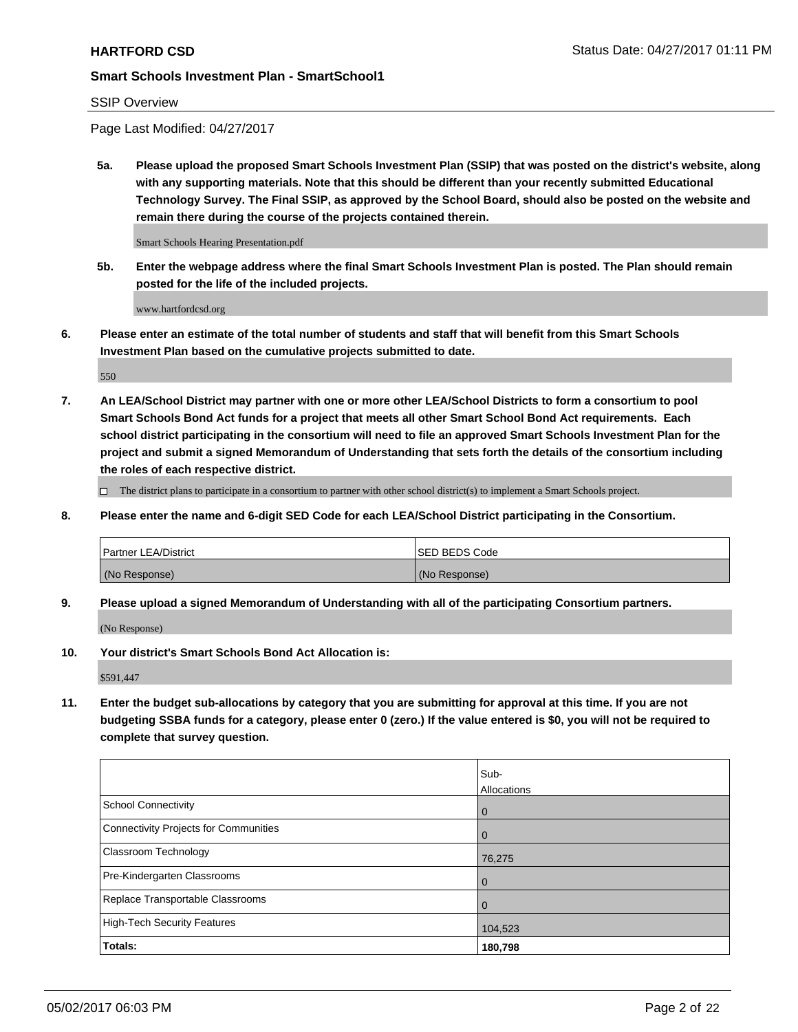### SSIP Overview

Page Last Modified: 04/27/2017

**5a. Please upload the proposed Smart Schools Investment Plan (SSIP) that was posted on the district's website, along with any supporting materials. Note that this should be different than your recently submitted Educational Technology Survey. The Final SSIP, as approved by the School Board, should also be posted on the website and remain there during the course of the projects contained therein.**

Smart Schools Hearing Presentation.pdf

**5b. Enter the webpage address where the final Smart Schools Investment Plan is posted. The Plan should remain posted for the life of the included projects.**

www.hartfordcsd.org

**6. Please enter an estimate of the total number of students and staff that will benefit from this Smart Schools Investment Plan based on the cumulative projects submitted to date.**

550

**7. An LEA/School District may partner with one or more other LEA/School Districts to form a consortium to pool Smart Schools Bond Act funds for a project that meets all other Smart School Bond Act requirements. Each school district participating in the consortium will need to file an approved Smart Schools Investment Plan for the project and submit a signed Memorandum of Understanding that sets forth the details of the consortium including the roles of each respective district.**

 $\Box$  The district plans to participate in a consortium to partner with other school district(s) to implement a Smart Schools project.

**8. Please enter the name and 6-digit SED Code for each LEA/School District participating in the Consortium.**

| <b>Partner LEA/District</b> | <b>ISED BEDS Code</b> |
|-----------------------------|-----------------------|
| (No Response)               | (No Response)         |

**9. Please upload a signed Memorandum of Understanding with all of the participating Consortium partners.**

(No Response)

**10. Your district's Smart Schools Bond Act Allocation is:**

\$591,447

**11. Enter the budget sub-allocations by category that you are submitting for approval at this time. If you are not budgeting SSBA funds for a category, please enter 0 (zero.) If the value entered is \$0, you will not be required to complete that survey question.**

|                                              | Sub-        |
|----------------------------------------------|-------------|
|                                              | Allocations |
| <b>School Connectivity</b>                   | 0           |
| <b>Connectivity Projects for Communities</b> | 0           |
| <b>Classroom Technology</b>                  | 76,275      |
| Pre-Kindergarten Classrooms                  | $\mathbf 0$ |
| Replace Transportable Classrooms             | 0           |
| <b>High-Tech Security Features</b>           | 104,523     |
| Totals:                                      | 180,798     |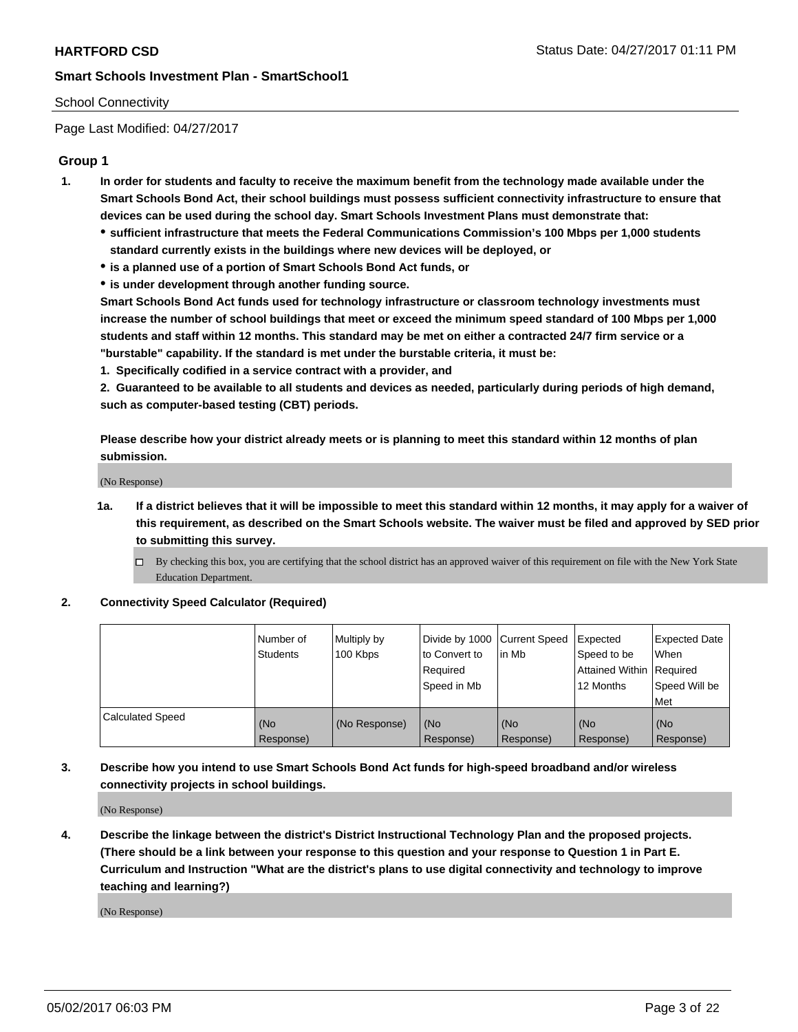### School Connectivity

Page Last Modified: 04/27/2017

### **Group 1**

- **1. In order for students and faculty to receive the maximum benefit from the technology made available under the Smart Schools Bond Act, their school buildings must possess sufficient connectivity infrastructure to ensure that devices can be used during the school day. Smart Schools Investment Plans must demonstrate that:**
	- **sufficient infrastructure that meets the Federal Communications Commission's 100 Mbps per 1,000 students standard currently exists in the buildings where new devices will be deployed, or**
	- **is a planned use of a portion of Smart Schools Bond Act funds, or**
	- **is under development through another funding source.**

**Smart Schools Bond Act funds used for technology infrastructure or classroom technology investments must increase the number of school buildings that meet or exceed the minimum speed standard of 100 Mbps per 1,000 students and staff within 12 months. This standard may be met on either a contracted 24/7 firm service or a "burstable" capability. If the standard is met under the burstable criteria, it must be:**

**1. Specifically codified in a service contract with a provider, and**

**2. Guaranteed to be available to all students and devices as needed, particularly during periods of high demand, such as computer-based testing (CBT) periods.**

**Please describe how your district already meets or is planning to meet this standard within 12 months of plan submission.**

(No Response)

- **1a. If a district believes that it will be impossible to meet this standard within 12 months, it may apply for a waiver of this requirement, as described on the Smart Schools website. The waiver must be filed and approved by SED prior to submitting this survey.**
	- By checking this box, you are certifying that the school district has an approved waiver of this requirement on file with the New York State Education Department.

#### **2. Connectivity Speed Calculator (Required)**

|                         | l Number of<br><b>Students</b> | Multiply by<br>100 Kbps | Divide by 1000   Current Speed<br>to Convert to<br>Required<br>l Speed in Mb | in Mb            | Expected<br>Speed to be<br>Attained Within Required<br>12 Months | <b>Expected Date</b><br>When<br>Speed Will be<br><b>Met</b> |
|-------------------------|--------------------------------|-------------------------|------------------------------------------------------------------------------|------------------|------------------------------------------------------------------|-------------------------------------------------------------|
| <b>Calculated Speed</b> | (No<br>Response)               | (No Response)           | (No<br>Response)                                                             | (No<br>Response) | (No<br>Response)                                                 | l (No<br>Response)                                          |

## **3. Describe how you intend to use Smart Schools Bond Act funds for high-speed broadband and/or wireless connectivity projects in school buildings.**

(No Response)

**4. Describe the linkage between the district's District Instructional Technology Plan and the proposed projects. (There should be a link between your response to this question and your response to Question 1 in Part E. Curriculum and Instruction "What are the district's plans to use digital connectivity and technology to improve teaching and learning?)**

(No Response)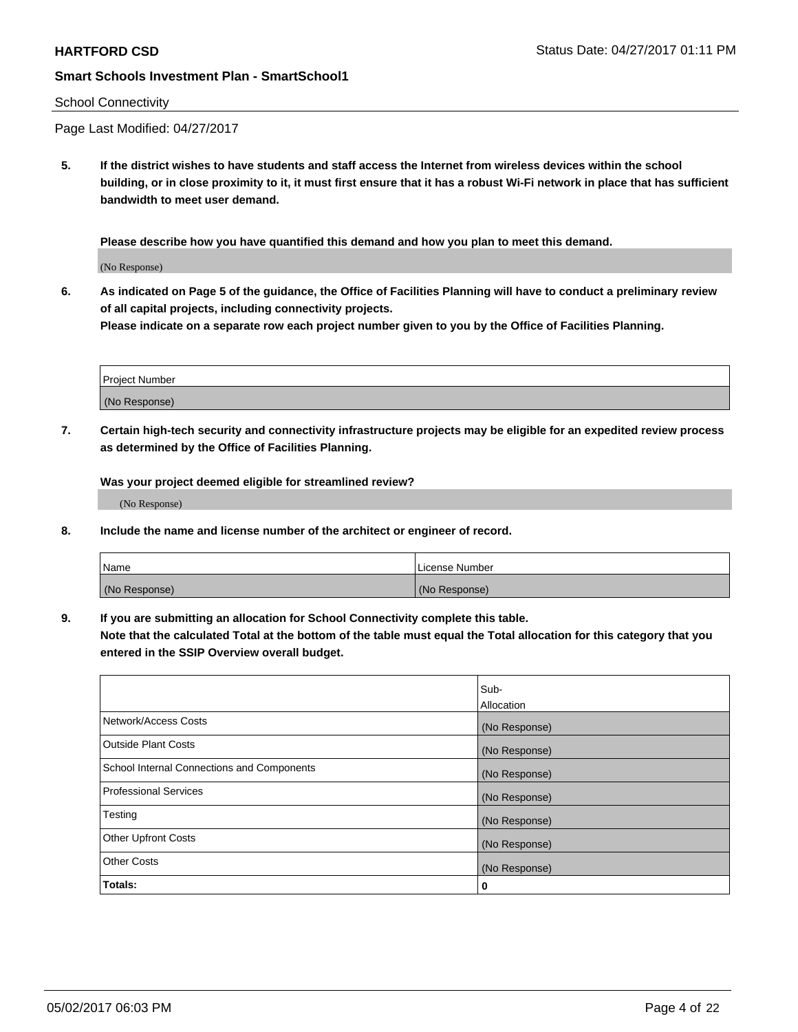#### School Connectivity

Page Last Modified: 04/27/2017

**5. If the district wishes to have students and staff access the Internet from wireless devices within the school building, or in close proximity to it, it must first ensure that it has a robust Wi-Fi network in place that has sufficient bandwidth to meet user demand.**

**Please describe how you have quantified this demand and how you plan to meet this demand.**

(No Response)

**6. As indicated on Page 5 of the guidance, the Office of Facilities Planning will have to conduct a preliminary review of all capital projects, including connectivity projects.**

**Please indicate on a separate row each project number given to you by the Office of Facilities Planning.**

| Project Number |  |
|----------------|--|
|                |  |
| (No Response)  |  |

**7. Certain high-tech security and connectivity infrastructure projects may be eligible for an expedited review process as determined by the Office of Facilities Planning.**

**Was your project deemed eligible for streamlined review?**

(No Response)

**8. Include the name and license number of the architect or engineer of record.**

| Name          | License Number |
|---------------|----------------|
| (No Response) | (No Response)  |

**9. If you are submitting an allocation for School Connectivity complete this table.**

**Note that the calculated Total at the bottom of the table must equal the Total allocation for this category that you entered in the SSIP Overview overall budget.** 

|                                            | Sub-          |
|--------------------------------------------|---------------|
|                                            | Allocation    |
| Network/Access Costs                       | (No Response) |
| Outside Plant Costs                        | (No Response) |
| School Internal Connections and Components | (No Response) |
| <b>Professional Services</b>               | (No Response) |
| Testing                                    | (No Response) |
| <b>Other Upfront Costs</b>                 | (No Response) |
| <b>Other Costs</b>                         | (No Response) |
| Totals:                                    | 0             |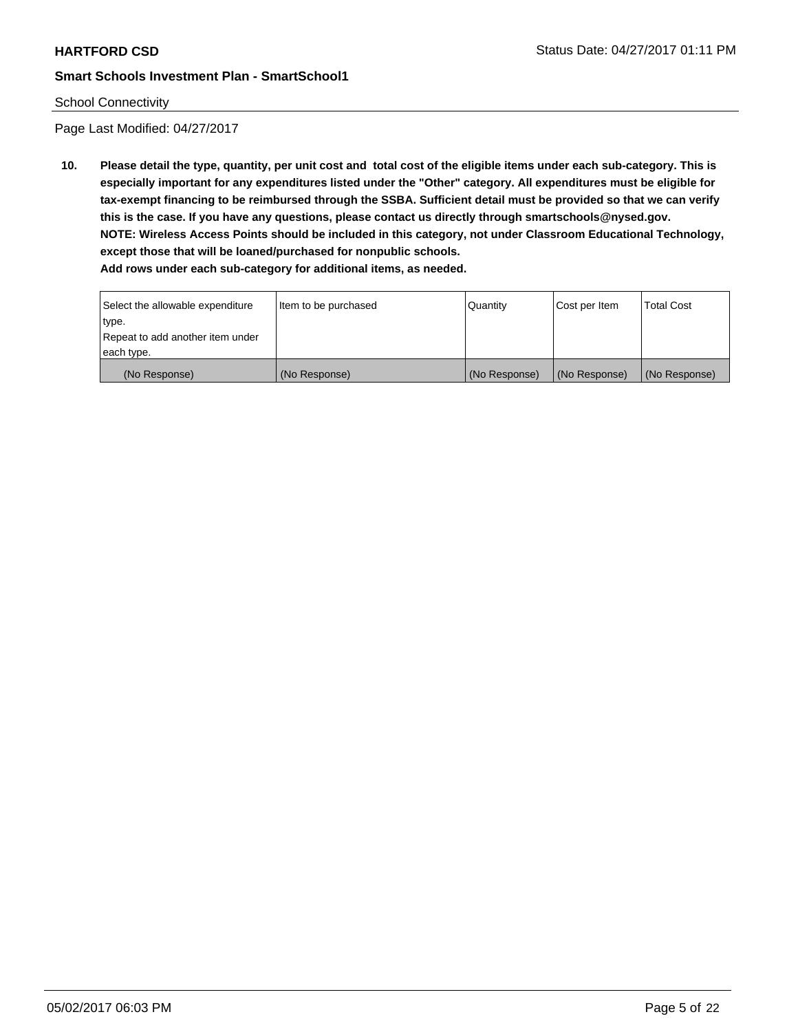### School Connectivity

Page Last Modified: 04/27/2017

**10. Please detail the type, quantity, per unit cost and total cost of the eligible items under each sub-category. This is especially important for any expenditures listed under the "Other" category. All expenditures must be eligible for tax-exempt financing to be reimbursed through the SSBA. Sufficient detail must be provided so that we can verify this is the case. If you have any questions, please contact us directly through smartschools@nysed.gov. NOTE: Wireless Access Points should be included in this category, not under Classroom Educational Technology, except those that will be loaned/purchased for nonpublic schools.**

| Select the allowable expenditure | Item to be purchased | Quantity      | Cost per Item | Total Cost    |
|----------------------------------|----------------------|---------------|---------------|---------------|
| type.                            |                      |               |               |               |
| Repeat to add another item under |                      |               |               |               |
| each type.                       |                      |               |               |               |
| (No Response)                    | (No Response)        | (No Response) | (No Response) | (No Response) |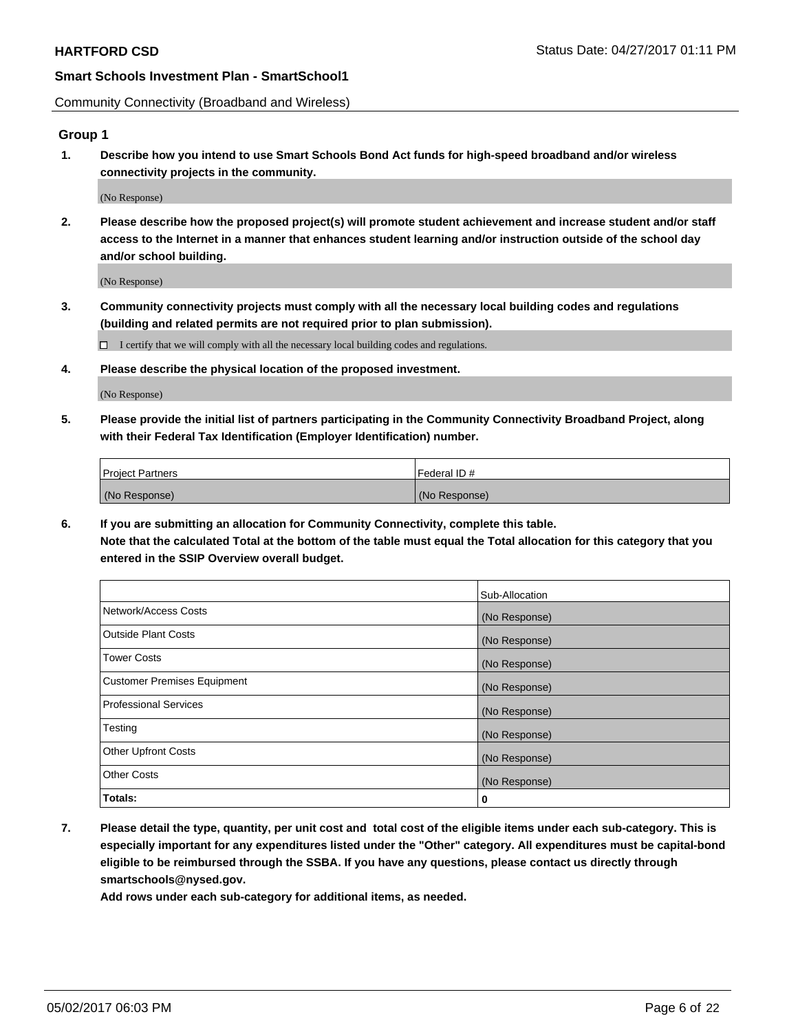Community Connectivity (Broadband and Wireless)

### **Group 1**

**1. Describe how you intend to use Smart Schools Bond Act funds for high-speed broadband and/or wireless connectivity projects in the community.**

(No Response)

**2. Please describe how the proposed project(s) will promote student achievement and increase student and/or staff access to the Internet in a manner that enhances student learning and/or instruction outside of the school day and/or school building.**

(No Response)

**3. Community connectivity projects must comply with all the necessary local building codes and regulations (building and related permits are not required prior to plan submission).**

 $\Box$  I certify that we will comply with all the necessary local building codes and regulations.

**4. Please describe the physical location of the proposed investment.**

(No Response)

**5. Please provide the initial list of partners participating in the Community Connectivity Broadband Project, along with their Federal Tax Identification (Employer Identification) number.**

| <b>Project Partners</b> | l Federal ID # |
|-------------------------|----------------|
| (No Response)           | (No Response)  |

**6. If you are submitting an allocation for Community Connectivity, complete this table. Note that the calculated Total at the bottom of the table must equal the Total allocation for this category that you entered in the SSIP Overview overall budget.**

|                                    | Sub-Allocation |
|------------------------------------|----------------|
| Network/Access Costs               | (No Response)  |
| Outside Plant Costs                | (No Response)  |
| <b>Tower Costs</b>                 | (No Response)  |
| <b>Customer Premises Equipment</b> | (No Response)  |
| Professional Services              | (No Response)  |
| Testing                            | (No Response)  |
| <b>Other Upfront Costs</b>         | (No Response)  |
| <b>Other Costs</b>                 | (No Response)  |
| Totals:                            | 0              |

**7. Please detail the type, quantity, per unit cost and total cost of the eligible items under each sub-category. This is especially important for any expenditures listed under the "Other" category. All expenditures must be capital-bond eligible to be reimbursed through the SSBA. If you have any questions, please contact us directly through smartschools@nysed.gov.**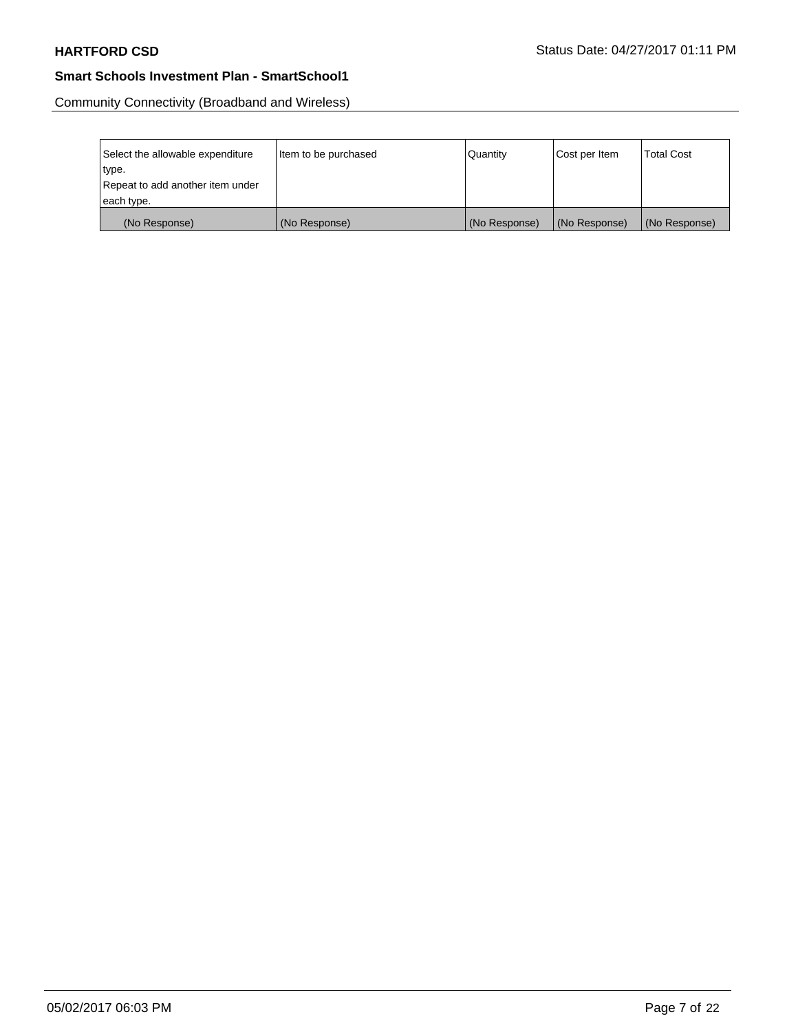Community Connectivity (Broadband and Wireless)

| Select the allowable expenditure | Item to be purchased | Quantity      | Cost per Item | Total Cost    |
|----------------------------------|----------------------|---------------|---------------|---------------|
| type.                            |                      |               |               |               |
| Repeat to add another item under |                      |               |               |               |
| each type.                       |                      |               |               |               |
| (No Response)                    | (No Response)        | (No Response) | (No Response) | (No Response) |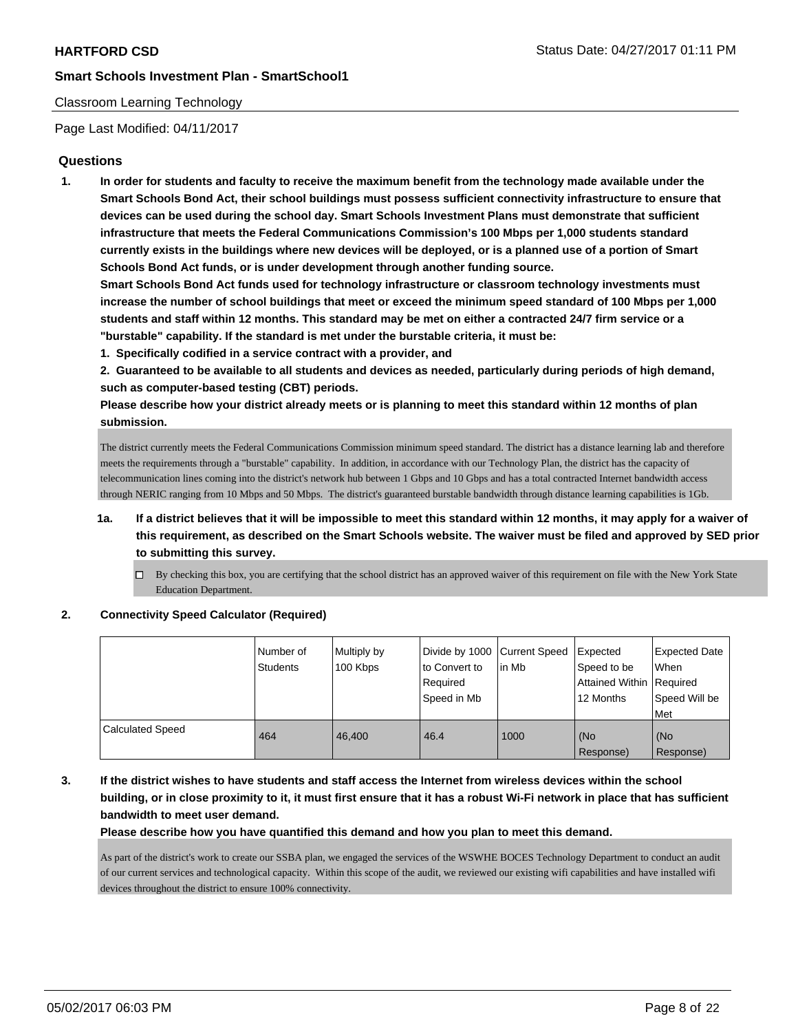### Classroom Learning Technology

Page Last Modified: 04/11/2017

### **Questions**

**1. In order for students and faculty to receive the maximum benefit from the technology made available under the Smart Schools Bond Act, their school buildings must possess sufficient connectivity infrastructure to ensure that devices can be used during the school day. Smart Schools Investment Plans must demonstrate that sufficient infrastructure that meets the Federal Communications Commission's 100 Mbps per 1,000 students standard currently exists in the buildings where new devices will be deployed, or is a planned use of a portion of Smart Schools Bond Act funds, or is under development through another funding source.**

**Smart Schools Bond Act funds used for technology infrastructure or classroom technology investments must increase the number of school buildings that meet or exceed the minimum speed standard of 100 Mbps per 1,000 students and staff within 12 months. This standard may be met on either a contracted 24/7 firm service or a "burstable" capability. If the standard is met under the burstable criteria, it must be:**

**1. Specifically codified in a service contract with a provider, and**

**2. Guaranteed to be available to all students and devices as needed, particularly during periods of high demand, such as computer-based testing (CBT) periods.**

**Please describe how your district already meets or is planning to meet this standard within 12 months of plan submission.**

The district currently meets the Federal Communications Commission minimum speed standard. The district has a distance learning lab and therefore meets the requirements through a "burstable" capability. In addition, in accordance with our Technology Plan, the district has the capacity of telecommunication lines coming into the district's network hub between 1 Gbps and 10 Gbps and has a total contracted Internet bandwidth access through NERIC ranging from 10 Mbps and 50 Mbps. The district's guaranteed burstable bandwidth through distance learning capabilities is 1Gb.

- **1a. If a district believes that it will be impossible to meet this standard within 12 months, it may apply for a waiver of this requirement, as described on the Smart Schools website. The waiver must be filed and approved by SED prior to submitting this survey.**
	- $\Box$  By checking this box, you are certifying that the school district has an approved waiver of this requirement on file with the New York State Education Department.

#### **2. Connectivity Speed Calculator (Required)**

|                         | INumber of<br><b>Students</b> | Multiply by<br>100 Kbps | to Convert to<br>Required<br>Speed in Mb | Divide by 1000 Current Speed<br>lin Mb | <b>Expected</b><br>Speed to be<br><b>Attained Within Required</b><br>12 Months | <b>Expected Date</b><br>When<br>Speed Will be<br><b>Met</b> |
|-------------------------|-------------------------------|-------------------------|------------------------------------------|----------------------------------------|--------------------------------------------------------------------------------|-------------------------------------------------------------|
| <b>Calculated Speed</b> | 464                           | 46.400                  | 46.4                                     | 1000                                   | (No<br>Response)                                                               | (No<br>Response)                                            |

**3. If the district wishes to have students and staff access the Internet from wireless devices within the school building, or in close proximity to it, it must first ensure that it has a robust Wi-Fi network in place that has sufficient bandwidth to meet user demand.**

**Please describe how you have quantified this demand and how you plan to meet this demand.**

As part of the district's work to create our SSBA plan, we engaged the services of the WSWHE BOCES Technology Department to conduct an audit of our current services and technological capacity. Within this scope of the audit, we reviewed our existing wifi capabilities and have installed wifi devices throughout the district to ensure 100% connectivity.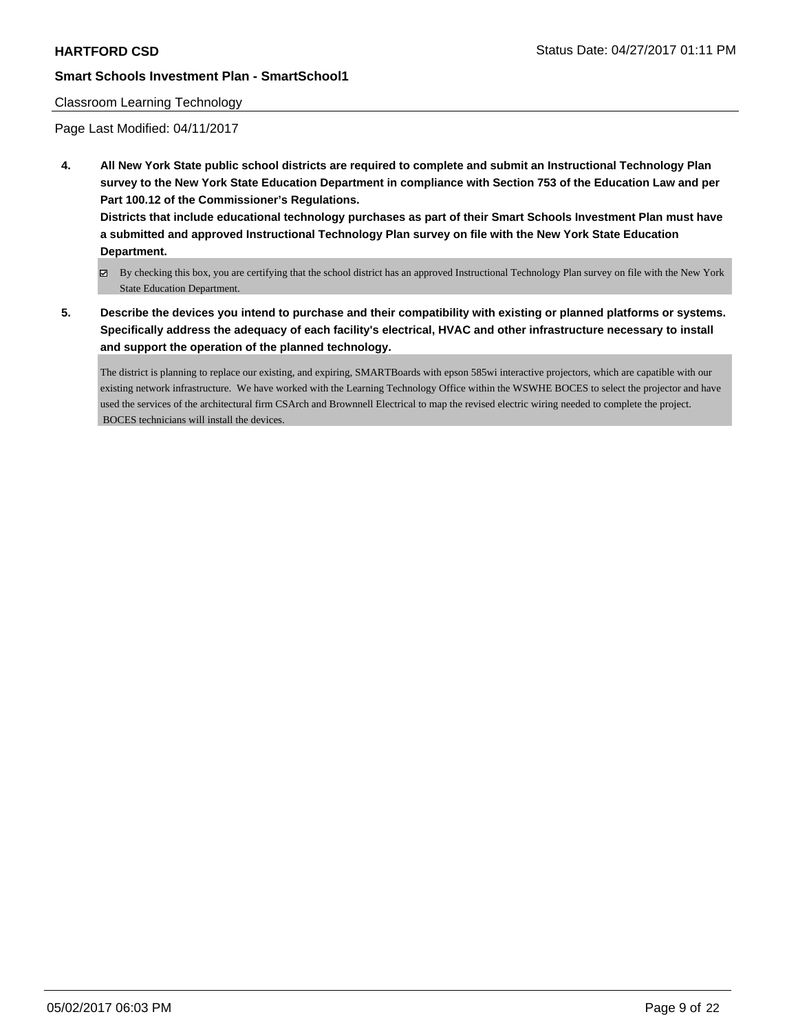### Classroom Learning Technology

Page Last Modified: 04/11/2017

**4. All New York State public school districts are required to complete and submit an Instructional Technology Plan survey to the New York State Education Department in compliance with Section 753 of the Education Law and per Part 100.12 of the Commissioner's Regulations.**

**Districts that include educational technology purchases as part of their Smart Schools Investment Plan must have a submitted and approved Instructional Technology Plan survey on file with the New York State Education Department.**

- By checking this box, you are certifying that the school district has an approved Instructional Technology Plan survey on file with the New York State Education Department.
- **5. Describe the devices you intend to purchase and their compatibility with existing or planned platforms or systems. Specifically address the adequacy of each facility's electrical, HVAC and other infrastructure necessary to install and support the operation of the planned technology.**

The district is planning to replace our existing, and expiring, SMARTBoards with epson 585wi interactive projectors, which are capatible with our existing network infrastructure. We have worked with the Learning Technology Office within the WSWHE BOCES to select the projector and have used the services of the architectural firm CSArch and Brownnell Electrical to map the revised electric wiring needed to complete the project. BOCES technicians will install the devices.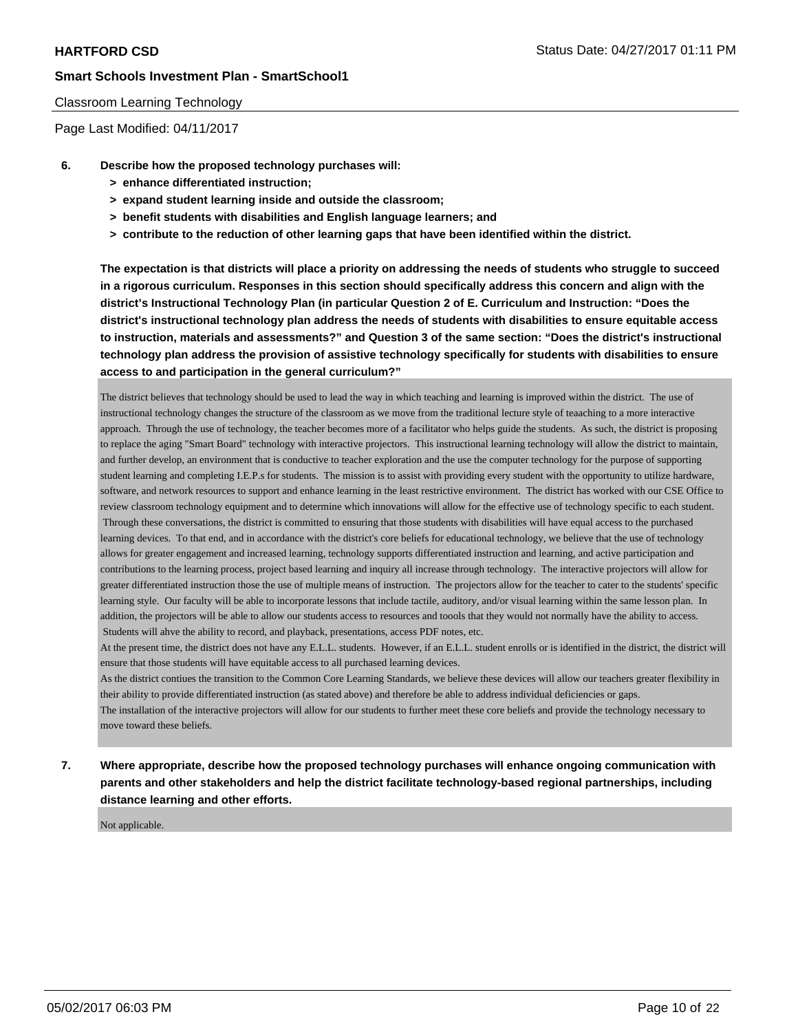#### Classroom Learning Technology

Page Last Modified: 04/11/2017

- **6. Describe how the proposed technology purchases will:**
	- **> enhance differentiated instruction;**
	- **> expand student learning inside and outside the classroom;**
	- **> benefit students with disabilities and English language learners; and**
	- **> contribute to the reduction of other learning gaps that have been identified within the district.**

**The expectation is that districts will place a priority on addressing the needs of students who struggle to succeed in a rigorous curriculum. Responses in this section should specifically address this concern and align with the district's Instructional Technology Plan (in particular Question 2 of E. Curriculum and Instruction: "Does the district's instructional technology plan address the needs of students with disabilities to ensure equitable access to instruction, materials and assessments?" and Question 3 of the same section: "Does the district's instructional technology plan address the provision of assistive technology specifically for students with disabilities to ensure access to and participation in the general curriculum?"**

The district believes that technology should be used to lead the way in which teaching and learning is improved within the district. The use of instructional technology changes the structure of the classroom as we move from the traditional lecture style of teaaching to a more interactive approach. Through the use of technology, the teacher becomes more of a facilitator who helps guide the students. As such, the district is proposing to replace the aging "Smart Board" technology with interactive projectors. This instructional learning technology will allow the district to maintain, and further develop, an environment that is conductive to teacher exploration and the use the computer technology for the purpose of supporting student learning and completing I.E.P.s for students. The mission is to assist with providing every student with the opportunity to utilize hardware, software, and network resources to support and enhance learning in the least restrictive environment. The district has worked with our CSE Office to review classroom technology equipment and to determine which innovations will allow for the effective use of technology specific to each student. Through these conversations, the district is committed to ensuring that those students with disabilities will have equal access to the purchased learning devices. To that end, and in accordance with the district's core beliefs for educational technology, we believe that the use of technology allows for greater engagement and increased learning, technology supports differentiated instruction and learning, and active participation and contributions to the learning process, project based learning and inquiry all increase through technology. The interactive projectors will allow for greater differentiated instruction those the use of multiple means of instruction. The projectors allow for the teacher to cater to the students' specific learning style. Our faculty will be able to incorporate lessons that include tactile, auditory, and/or visual learning within the same lesson plan. In addition, the projectors will be able to allow our students access to resources and toools that they would not normally have the ability to access. Students will ahve the ability to record, and playback, presentations, access PDF notes, etc.

At the present time, the district does not have any E.L.L. students. However, if an E.L.L. student enrolls or is identified in the district, the district will ensure that those students will have equitable access to all purchased learning devices.

As the district contiues the transition to the Common Core Learning Standards, we believe these devices will allow our teachers greater flexibility in their ability to provide differentiated instruction (as stated above) and therefore be able to address individual deficiencies or gaps. The installation of the interactive projectors will allow for our students to further meet these core beliefs and provide the technology necessary to move toward these beliefs.

**7. Where appropriate, describe how the proposed technology purchases will enhance ongoing communication with parents and other stakeholders and help the district facilitate technology-based regional partnerships, including distance learning and other efforts.**

Not applicable.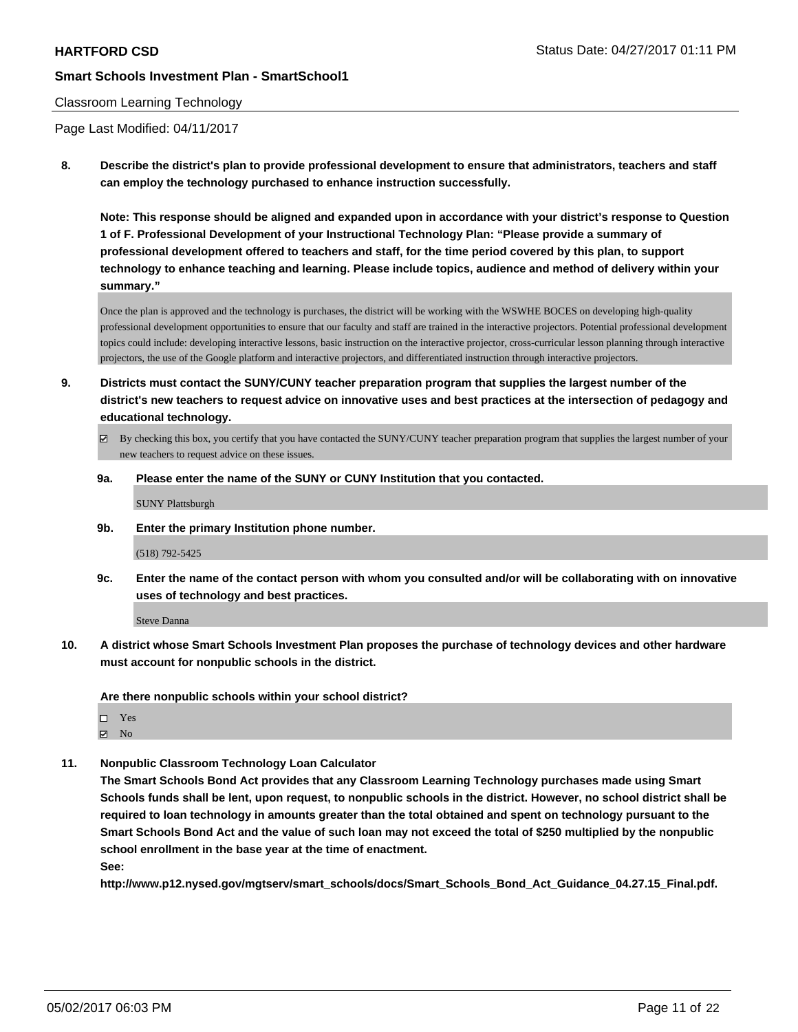#### Classroom Learning Technology

Page Last Modified: 04/11/2017

**8. Describe the district's plan to provide professional development to ensure that administrators, teachers and staff can employ the technology purchased to enhance instruction successfully.**

**Note: This response should be aligned and expanded upon in accordance with your district's response to Question 1 of F. Professional Development of your Instructional Technology Plan: "Please provide a summary of professional development offered to teachers and staff, for the time period covered by this plan, to support technology to enhance teaching and learning. Please include topics, audience and method of delivery within your summary."**

Once the plan is approved and the technology is purchases, the district will be working with the WSWHE BOCES on developing high-quality professional development opportunities to ensure that our faculty and staff are trained in the interactive projectors. Potential professional development topics could include: developing interactive lessons, basic instruction on the interactive projector, cross-curricular lesson planning through interactive projectors, the use of the Google platform and interactive projectors, and differentiated instruction through interactive projectors.

- **9. Districts must contact the SUNY/CUNY teacher preparation program that supplies the largest number of the district's new teachers to request advice on innovative uses and best practices at the intersection of pedagogy and educational technology.**
	- By checking this box, you certify that you have contacted the SUNY/CUNY teacher preparation program that supplies the largest number of your new teachers to request advice on these issues.
	- **9a. Please enter the name of the SUNY or CUNY Institution that you contacted.**

SUNY Plattsburgh

**9b. Enter the primary Institution phone number.**

(518) 792-5425

**9c. Enter the name of the contact person with whom you consulted and/or will be collaborating with on innovative uses of technology and best practices.**

Steve Danna

**10. A district whose Smart Schools Investment Plan proposes the purchase of technology devices and other hardware must account for nonpublic schools in the district.**

**Are there nonpublic schools within your school district?**

Yes  $\boxtimes$  No

**11. Nonpublic Classroom Technology Loan Calculator**

**The Smart Schools Bond Act provides that any Classroom Learning Technology purchases made using Smart Schools funds shall be lent, upon request, to nonpublic schools in the district. However, no school district shall be required to loan technology in amounts greater than the total obtained and spent on technology pursuant to the Smart Schools Bond Act and the value of such loan may not exceed the total of \$250 multiplied by the nonpublic school enrollment in the base year at the time of enactment.**

**See:**

**http://www.p12.nysed.gov/mgtserv/smart\_schools/docs/Smart\_Schools\_Bond\_Act\_Guidance\_04.27.15\_Final.pdf.**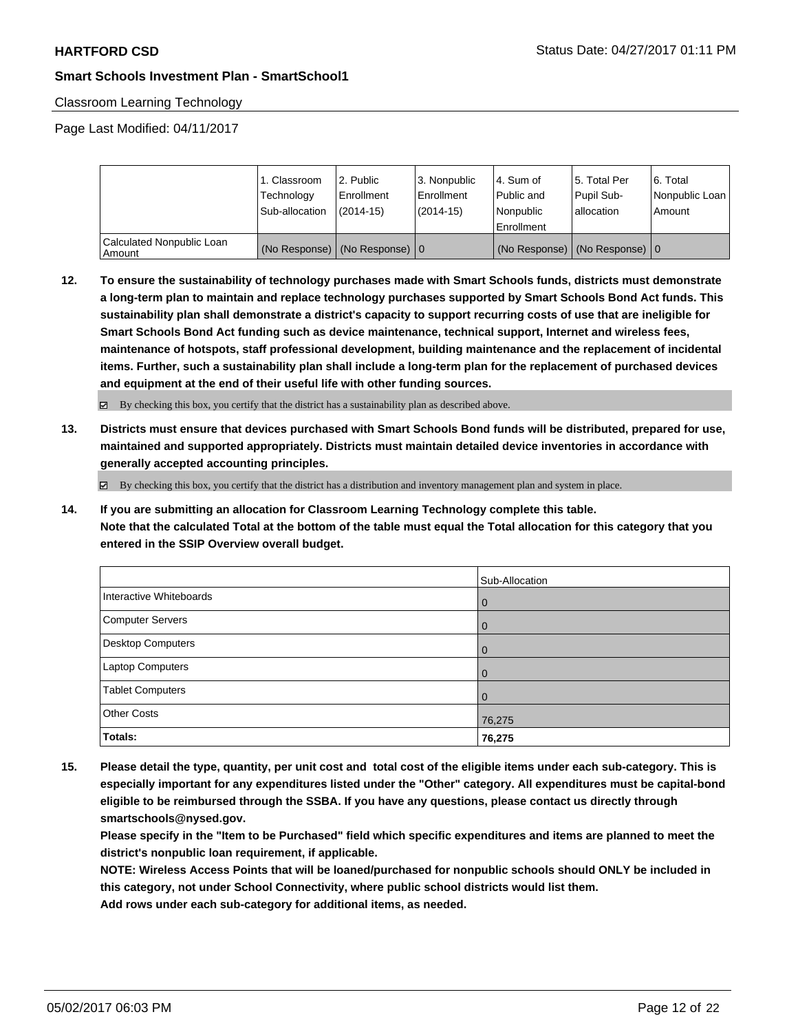### Classroom Learning Technology

Page Last Modified: 04/11/2017

|                                     | 1. Classroom<br>Technology<br>Sub-allocation | l 2. Public<br>Enrollment<br>(2014-15)     | 3. Nonpublic<br>Enrollment<br>$(2014-15)$ | l 4. Sum of<br>Public and<br>l Nonpublic<br>l Enrollment | 15. Total Per<br>Pupil Sub-<br>allocation | 6. Total<br>Nonpublic Loan<br>Amount |
|-------------------------------------|----------------------------------------------|--------------------------------------------|-------------------------------------------|----------------------------------------------------------|-------------------------------------------|--------------------------------------|
| Calculated Nonpublic Loan<br>Amount |                                              | (No Response) $ (No$ Response) $ 0\rangle$ |                                           | (No Response)                                            | (No Response) $\vert 0 \rangle$           |                                      |

**12. To ensure the sustainability of technology purchases made with Smart Schools funds, districts must demonstrate a long-term plan to maintain and replace technology purchases supported by Smart Schools Bond Act funds. This sustainability plan shall demonstrate a district's capacity to support recurring costs of use that are ineligible for Smart Schools Bond Act funding such as device maintenance, technical support, Internet and wireless fees, maintenance of hotspots, staff professional development, building maintenance and the replacement of incidental items. Further, such a sustainability plan shall include a long-term plan for the replacement of purchased devices and equipment at the end of their useful life with other funding sources.**

By checking this box, you certify that the district has a sustainability plan as described above.

**13. Districts must ensure that devices purchased with Smart Schools Bond funds will be distributed, prepared for use, maintained and supported appropriately. Districts must maintain detailed device inventories in accordance with generally accepted accounting principles.**

 $\boxtimes$  By checking this box, you certify that the district has a distribution and inventory management plan and system in place.

**14. If you are submitting an allocation for Classroom Learning Technology complete this table. Note that the calculated Total at the bottom of the table must equal the Total allocation for this category that you entered in the SSIP Overview overall budget.**

|                         | Sub-Allocation |
|-------------------------|----------------|
| Interactive Whiteboards | $\overline{0}$ |
| Computer Servers        | $\overline{0}$ |
| Desktop Computers       | $\overline{0}$ |
| Laptop Computers        | $\Omega$       |
| <b>Tablet Computers</b> | $\Omega$       |
| <b>Other Costs</b>      | 76,275         |
| Totals:                 | 76,275         |

**15. Please detail the type, quantity, per unit cost and total cost of the eligible items under each sub-category. This is especially important for any expenditures listed under the "Other" category. All expenditures must be capital-bond eligible to be reimbursed through the SSBA. If you have any questions, please contact us directly through smartschools@nysed.gov.**

**Please specify in the "Item to be Purchased" field which specific expenditures and items are planned to meet the district's nonpublic loan requirement, if applicable.**

**NOTE: Wireless Access Points that will be loaned/purchased for nonpublic schools should ONLY be included in this category, not under School Connectivity, where public school districts would list them.**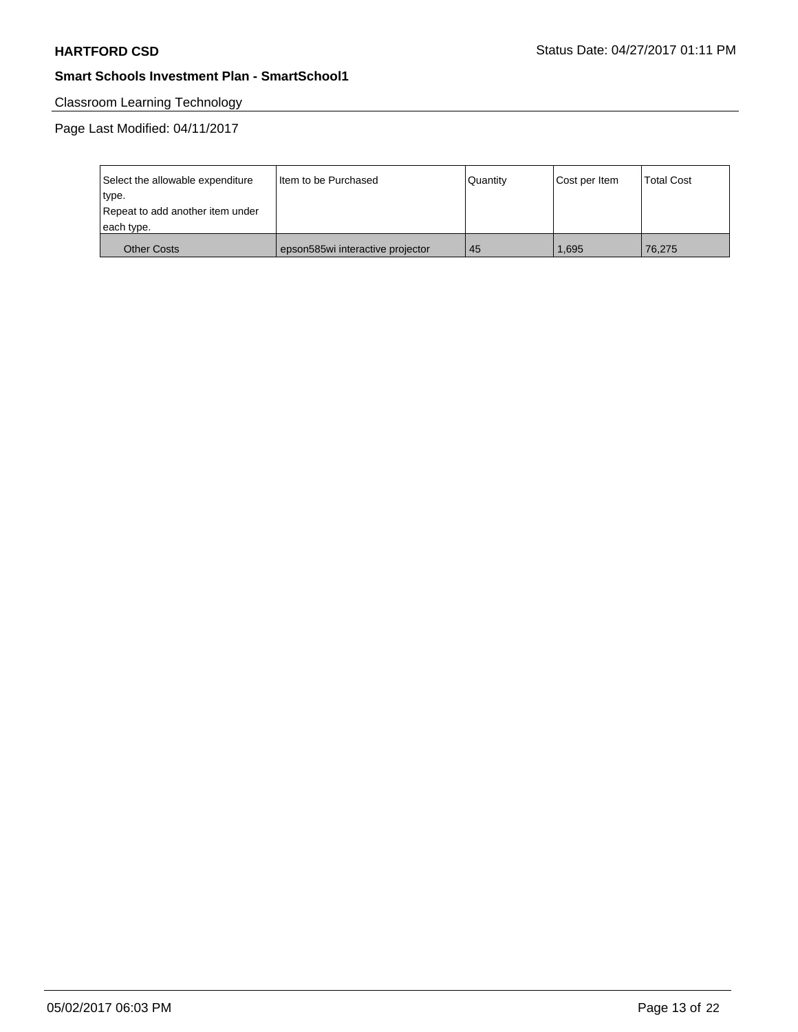# Classroom Learning Technology

Page Last Modified: 04/11/2017

| Select the allowable expenditure | Iltem to be Purchased            | Quantity | Cost per Item | <b>Total Cost</b> |
|----------------------------------|----------------------------------|----------|---------------|-------------------|
| type.                            |                                  |          |               |                   |
| Repeat to add another item under |                                  |          |               |                   |
| each type.                       |                                  |          |               |                   |
| <b>Other Costs</b>               | epson585wi interactive projector | 45       | 1.695         | 76.275            |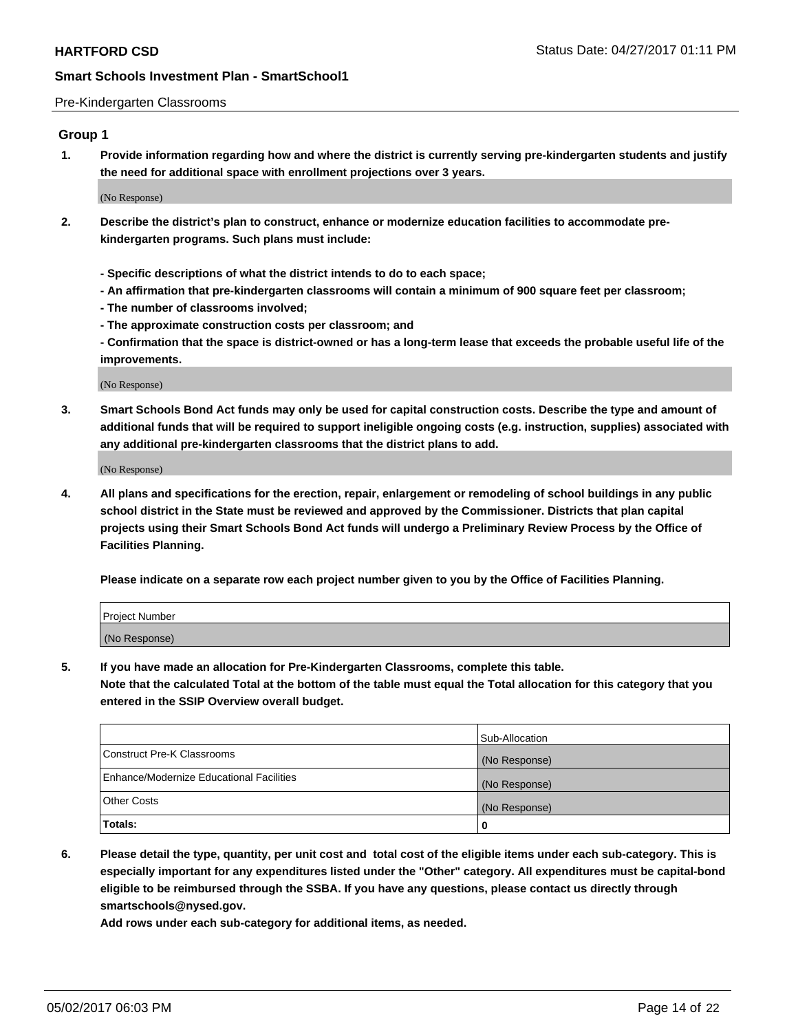#### Pre-Kindergarten Classrooms

### **Group 1**

**1. Provide information regarding how and where the district is currently serving pre-kindergarten students and justify the need for additional space with enrollment projections over 3 years.**

(No Response)

- **2. Describe the district's plan to construct, enhance or modernize education facilities to accommodate prekindergarten programs. Such plans must include:**
	- **Specific descriptions of what the district intends to do to each space;**
	- **An affirmation that pre-kindergarten classrooms will contain a minimum of 900 square feet per classroom;**
	- **The number of classrooms involved;**
	- **The approximate construction costs per classroom; and**

**- Confirmation that the space is district-owned or has a long-term lease that exceeds the probable useful life of the improvements.**

(No Response)

**3. Smart Schools Bond Act funds may only be used for capital construction costs. Describe the type and amount of additional funds that will be required to support ineligible ongoing costs (e.g. instruction, supplies) associated with any additional pre-kindergarten classrooms that the district plans to add.**

(No Response)

**4. All plans and specifications for the erection, repair, enlargement or remodeling of school buildings in any public school district in the State must be reviewed and approved by the Commissioner. Districts that plan capital projects using their Smart Schools Bond Act funds will undergo a Preliminary Review Process by the Office of Facilities Planning.**

**Please indicate on a separate row each project number given to you by the Office of Facilities Planning.**

| Project Number |  |
|----------------|--|
| (No Response)  |  |

**5. If you have made an allocation for Pre-Kindergarten Classrooms, complete this table.**

**Note that the calculated Total at the bottom of the table must equal the Total allocation for this category that you entered in the SSIP Overview overall budget.**

|                                          | Sub-Allocation |
|------------------------------------------|----------------|
| Construct Pre-K Classrooms               | (No Response)  |
| Enhance/Modernize Educational Facilities | (No Response)  |
| Other Costs                              | (No Response)  |
| Totals:                                  | 0              |

**6. Please detail the type, quantity, per unit cost and total cost of the eligible items under each sub-category. This is especially important for any expenditures listed under the "Other" category. All expenditures must be capital-bond eligible to be reimbursed through the SSBA. If you have any questions, please contact us directly through smartschools@nysed.gov.**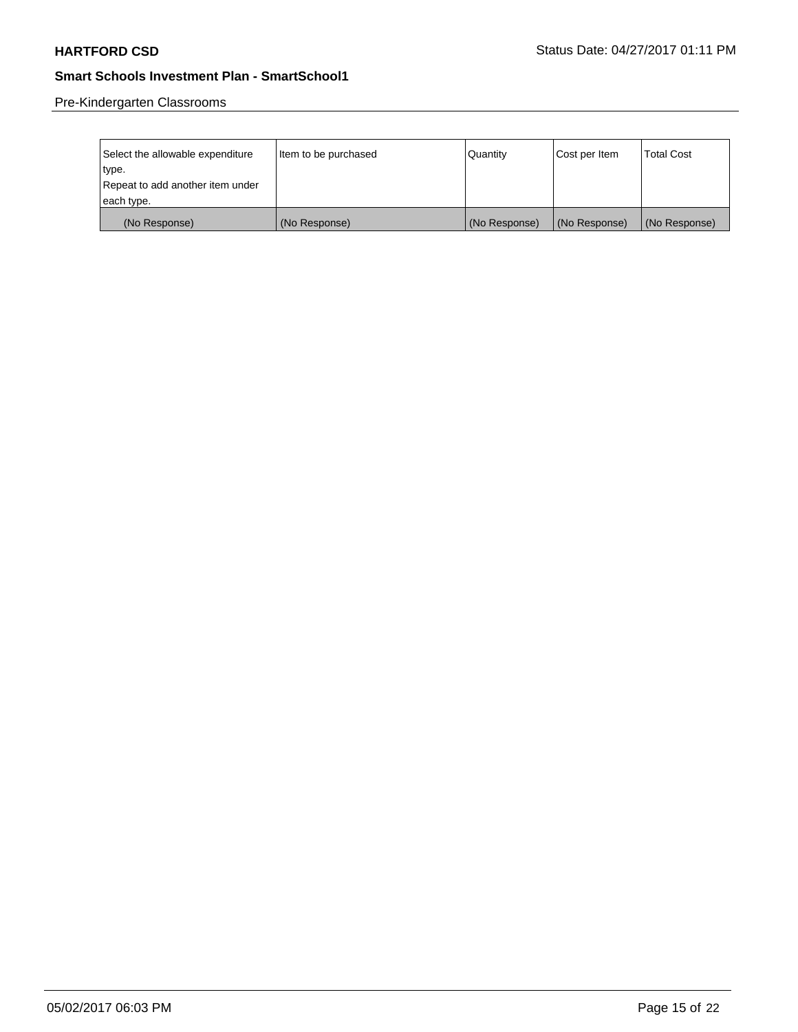Pre-Kindergarten Classrooms

| Select the allowable expenditure<br>type.      | Item to be purchased | Quantity      | Cost per Item | Total Cost    |
|------------------------------------------------|----------------------|---------------|---------------|---------------|
| Repeat to add another item under<br>each type. |                      |               |               |               |
| (No Response)                                  | (No Response)        | (No Response) | (No Response) | (No Response) |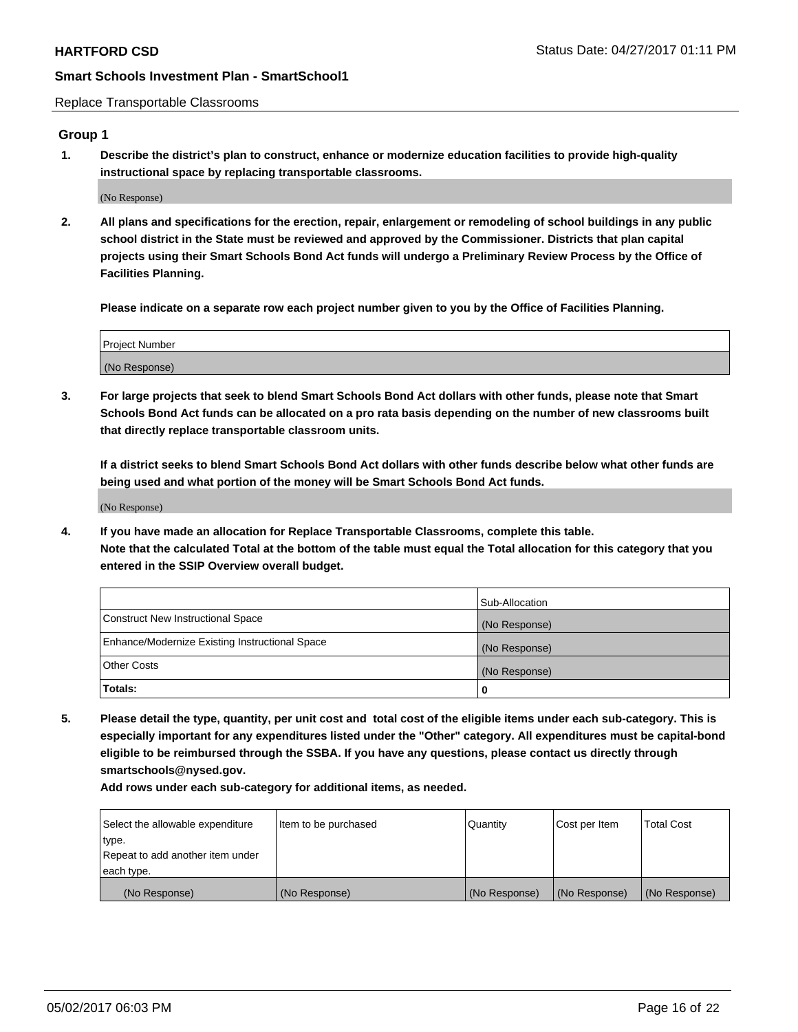Replace Transportable Classrooms

### **Group 1**

**1. Describe the district's plan to construct, enhance or modernize education facilities to provide high-quality instructional space by replacing transportable classrooms.**

(No Response)

**2. All plans and specifications for the erection, repair, enlargement or remodeling of school buildings in any public school district in the State must be reviewed and approved by the Commissioner. Districts that plan capital projects using their Smart Schools Bond Act funds will undergo a Preliminary Review Process by the Office of Facilities Planning.**

**Please indicate on a separate row each project number given to you by the Office of Facilities Planning.**

| Project Number |  |
|----------------|--|
| (No Response)  |  |

**3. For large projects that seek to blend Smart Schools Bond Act dollars with other funds, please note that Smart Schools Bond Act funds can be allocated on a pro rata basis depending on the number of new classrooms built that directly replace transportable classroom units.**

**If a district seeks to blend Smart Schools Bond Act dollars with other funds describe below what other funds are being used and what portion of the money will be Smart Schools Bond Act funds.**

(No Response)

**4. If you have made an allocation for Replace Transportable Classrooms, complete this table. Note that the calculated Total at the bottom of the table must equal the Total allocation for this category that you entered in the SSIP Overview overall budget.**

|                                                | Sub-Allocation |
|------------------------------------------------|----------------|
| Construct New Instructional Space              | (No Response)  |
| Enhance/Modernize Existing Instructional Space | (No Response)  |
| Other Costs                                    | (No Response)  |
| Totals:                                        | 0              |

**5. Please detail the type, quantity, per unit cost and total cost of the eligible items under each sub-category. This is especially important for any expenditures listed under the "Other" category. All expenditures must be capital-bond eligible to be reimbursed through the SSBA. If you have any questions, please contact us directly through smartschools@nysed.gov.**

| Select the allowable expenditure | lltem to be purchased | Quantity      | Cost per Item | <b>Total Cost</b> |
|----------------------------------|-----------------------|---------------|---------------|-------------------|
| type.                            |                       |               |               |                   |
| Repeat to add another item under |                       |               |               |                   |
| each type.                       |                       |               |               |                   |
| (No Response)                    | (No Response)         | (No Response) | (No Response) | (No Response)     |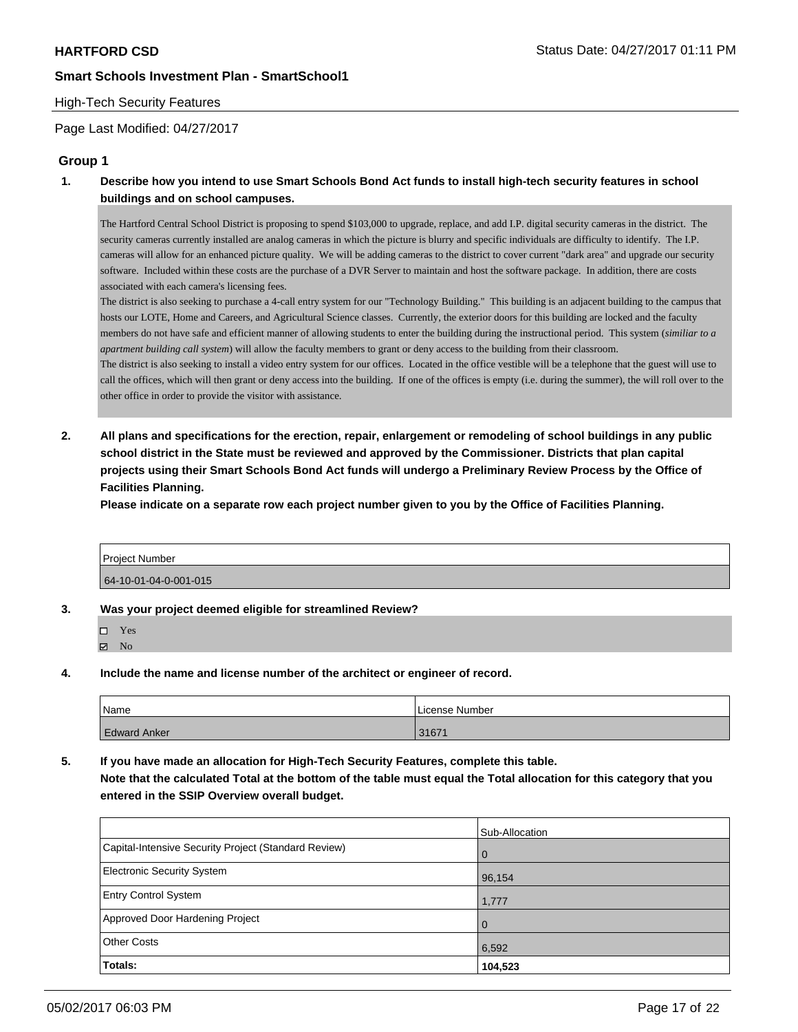#### High-Tech Security Features

Page Last Modified: 04/27/2017

### **Group 1**

**1. Describe how you intend to use Smart Schools Bond Act funds to install high-tech security features in school buildings and on school campuses.**

The Hartford Central School District is proposing to spend \$103,000 to upgrade, replace, and add I.P. digital security cameras in the district. The security cameras currently installed are analog cameras in which the picture is blurry and specific individuals are difficulty to identify. The I.P. cameras will allow for an enhanced picture quality. We will be adding cameras to the district to cover current "dark area" and upgrade our security software. Included within these costs are the purchase of a DVR Server to maintain and host the software package. In addition, there are costs associated with each camera's licensing fees.

The district is also seeking to purchase a 4-call entry system for our "Technology Building." This building is an adjacent building to the campus that hosts our LOTE, Home and Careers, and Agricultural Science classes. Currently, the exterior doors for this building are locked and the faculty members do not have safe and efficient manner of allowing students to enter the building during the instructional period. This system (*similiar to a apartment building call system*) will allow the faculty members to grant or deny access to the building from their classroom.

The district is also seeking to install a video entry system for our offices. Located in the office vestible will be a telephone that the guest will use to call the offices, which will then grant or deny access into the building. If one of the offices is empty (i.e. during the summer), the will roll over to the other office in order to provide the visitor with assistance.

**2. All plans and specifications for the erection, repair, enlargement or remodeling of school buildings in any public school district in the State must be reviewed and approved by the Commissioner. Districts that plan capital projects using their Smart Schools Bond Act funds will undergo a Preliminary Review Process by the Office of Facilities Planning.** 

**Please indicate on a separate row each project number given to you by the Office of Facilities Planning.**

| l Proiect Number      |  |
|-----------------------|--|
| 64-10-01-04-0-001-015 |  |

- **3. Was your project deemed eligible for streamlined Review?**
	- □ Yes  $\boxtimes$  No
- **4. Include the name and license number of the architect or engineer of record.**

| Name                | License Number |
|---------------------|----------------|
| <b>Edward Anker</b> | 31671          |

**5. If you have made an allocation for High-Tech Security Features, complete this table.**

**Note that the calculated Total at the bottom of the table must equal the Total allocation for this category that you entered in the SSIP Overview overall budget.**

|                                                      | Sub-Allocation |
|------------------------------------------------------|----------------|
| Capital-Intensive Security Project (Standard Review) | l 0            |
| <b>Electronic Security System</b>                    | 96,154         |
| <b>Entry Control System</b>                          | 1,777          |
| Approved Door Hardening Project                      | $\overline{0}$ |
| <b>Other Costs</b>                                   | 6,592          |
| Totals:                                              | 104,523        |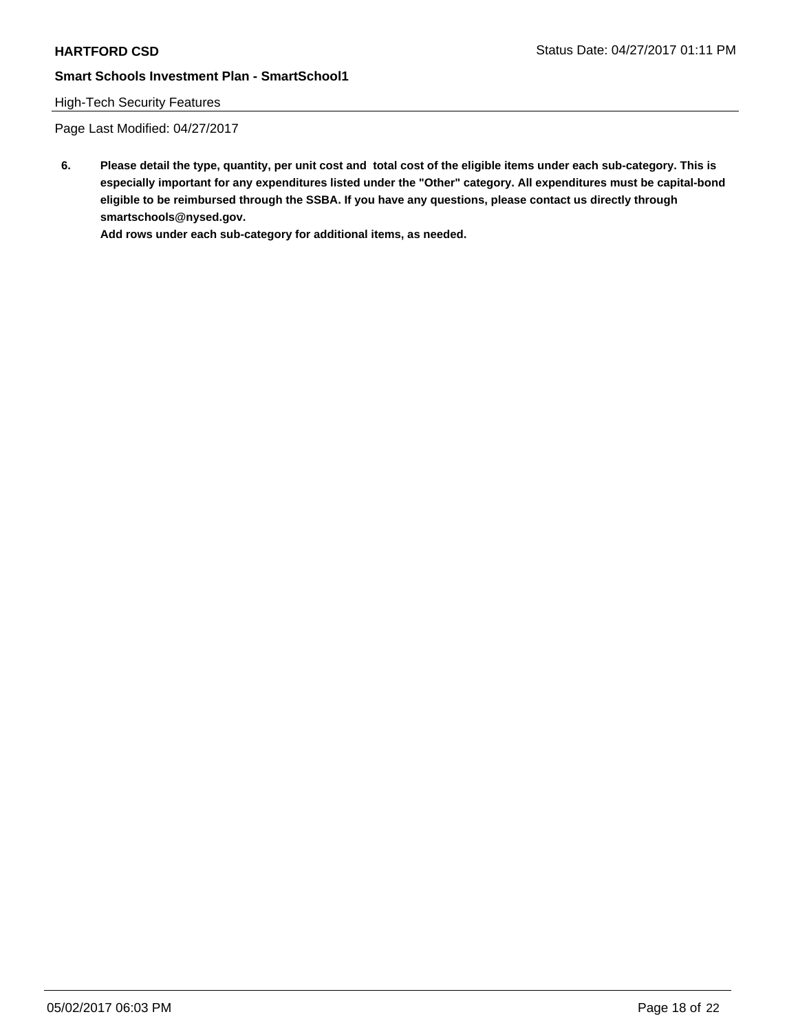## High-Tech Security Features

Page Last Modified: 04/27/2017

**6. Please detail the type, quantity, per unit cost and total cost of the eligible items under each sub-category. This is especially important for any expenditures listed under the "Other" category. All expenditures must be capital-bond eligible to be reimbursed through the SSBA. If you have any questions, please contact us directly through smartschools@nysed.gov.**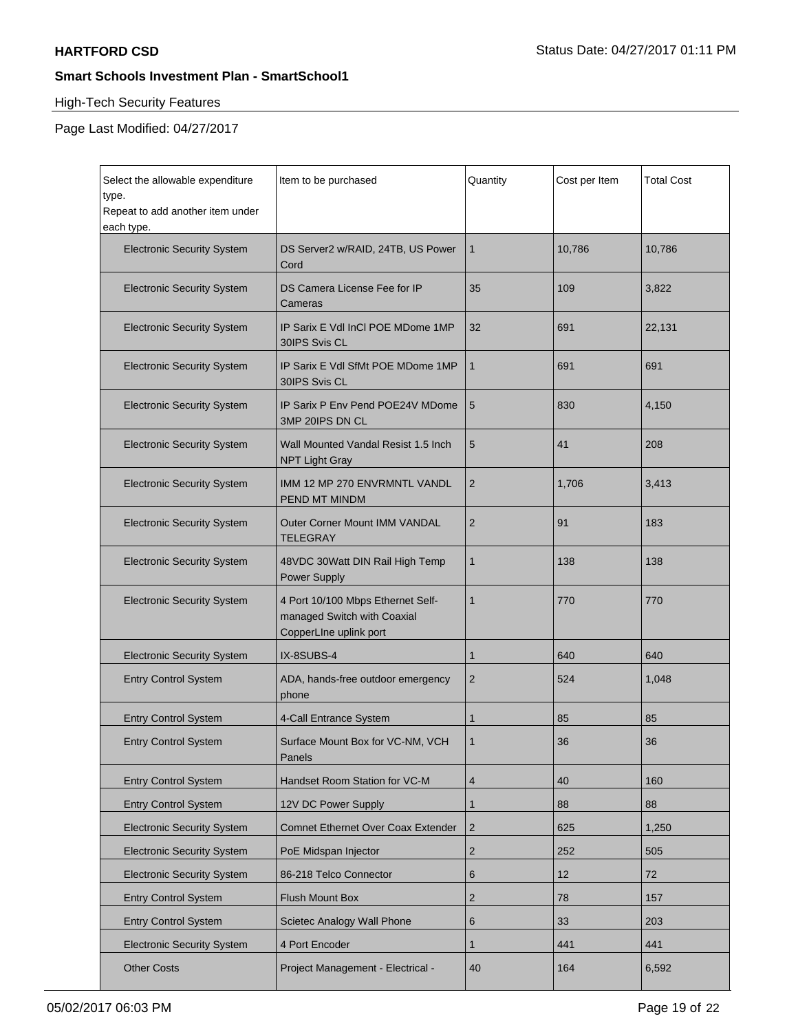$\blacksquare$ 

# **Smart Schools Investment Plan - SmartSchool1**

## High-Tech Security Features

Page Last Modified: 04/27/2017

| Select the allowable expenditure<br>type.<br>Repeat to add another item under<br>each type. | Item to be purchased                                                                       | Quantity       | Cost per Item | <b>Total Cost</b> |
|---------------------------------------------------------------------------------------------|--------------------------------------------------------------------------------------------|----------------|---------------|-------------------|
| <b>Electronic Security System</b>                                                           | DS Server2 w/RAID, 24TB, US Power<br>Cord                                                  | 1              | 10,786        | 10,786            |
| <b>Electronic Security System</b>                                                           | DS Camera License Fee for IP<br>Cameras                                                    | 35             | 109           | 3,822             |
| <b>Electronic Security System</b>                                                           | IP Sarix E Vdl InCl POE MDome 1MP<br>30IPS Svis CL                                         | 32             | 691           | 22,131            |
| <b>Electronic Security System</b>                                                           | IP Sarix E Vdl SfMt POE MDome 1MP<br>30IPS Svis CL                                         | 1              | 691           | 691               |
| <b>Electronic Security System</b>                                                           | IP Sarix P Env Pend POE24V MDome<br>3MP 20IPS DN CL                                        | 5              | 830           | 4,150             |
| <b>Electronic Security System</b>                                                           | Wall Mounted Vandal Resist 1.5 Inch<br><b>NPT Light Gray</b>                               | 5              | 41            | 208               |
| <b>Electronic Security System</b>                                                           | IMM 12 MP 270 ENVRMNTL VANDL<br>PEND MT MINDM                                              | $\overline{2}$ | 1,706         | 3,413             |
| <b>Electronic Security System</b>                                                           | <b>Outer Corner Mount IMM VANDAL</b><br><b>TELEGRAY</b>                                    | $\overline{2}$ | 91            | 183               |
| <b>Electronic Security System</b>                                                           | 48VDC 30Watt DIN Rail High Temp<br><b>Power Supply</b>                                     | 1              | 138           | 138               |
| <b>Electronic Security System</b>                                                           | 4 Port 10/100 Mbps Ethernet Self-<br>managed Switch with Coaxial<br>CopperLine uplink port | 1              | 770           | 770               |
| <b>Electronic Security System</b>                                                           | IX-8SUBS-4                                                                                 | 1              | 640           | 640               |
| <b>Entry Control System</b>                                                                 | ADA, hands-free outdoor emergency<br>phone                                                 | 2              | 524           | 1,048             |
| <b>Entry Control System</b>                                                                 | 4-Call Entrance System                                                                     | 1              | 85            | 85                |
| <b>Entry Control System</b>                                                                 | Surface Mount Box for VC-NM, VCH<br>Panels                                                 | 1              | 36            | 36                |
| <b>Entry Control System</b>                                                                 | Handset Room Station for VC-M                                                              | $\overline{4}$ | 40            | 160               |
| <b>Entry Control System</b>                                                                 | 12V DC Power Supply                                                                        | 1              | 88            | 88                |
| <b>Electronic Security System</b>                                                           | Comnet Ethernet Over Coax Extender                                                         | 2              | 625           | 1,250             |
| <b>Electronic Security System</b>                                                           | PoE Midspan Injector                                                                       | $\overline{2}$ | 252           | 505               |
| <b>Electronic Security System</b>                                                           | 86-218 Telco Connector                                                                     | 6              | 12            | 72                |
| <b>Entry Control System</b>                                                                 | Flush Mount Box                                                                            | $\overline{2}$ | 78            | 157               |
| <b>Entry Control System</b>                                                                 | Scietec Analogy Wall Phone                                                                 | 6              | 33            | 203               |
| <b>Electronic Security System</b>                                                           | 4 Port Encoder                                                                             | 1              | 441           | 441               |
| <b>Other Costs</b>                                                                          | Project Management - Electrical -                                                          | 40             | 164           | 6,592             |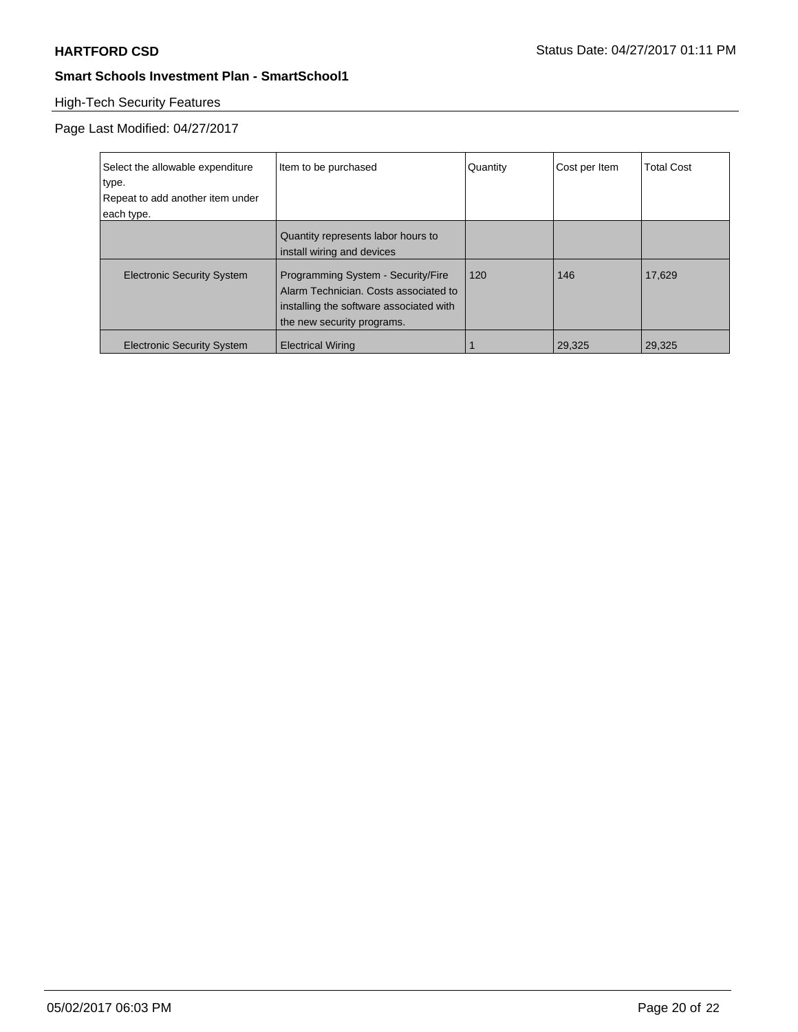# High-Tech Security Features

Page Last Modified: 04/27/2017

| Select the allowable expenditure<br>type.<br>Repeat to add another item under<br>each type. | Item to be purchased                                                                                                                                 | Quantity | Cost per Item | <b>Total Cost</b> |
|---------------------------------------------------------------------------------------------|------------------------------------------------------------------------------------------------------------------------------------------------------|----------|---------------|-------------------|
|                                                                                             | Quantity represents labor hours to<br>install wiring and devices                                                                                     |          |               |                   |
| <b>Electronic Security System</b>                                                           | Programming System - Security/Fire<br>Alarm Technician. Costs associated to<br>installing the software associated with<br>the new security programs. | 120      | 146           | 17,629            |
| <b>Electronic Security System</b>                                                           | <b>Electrical Wiring</b>                                                                                                                             |          | 29,325        | 29,325            |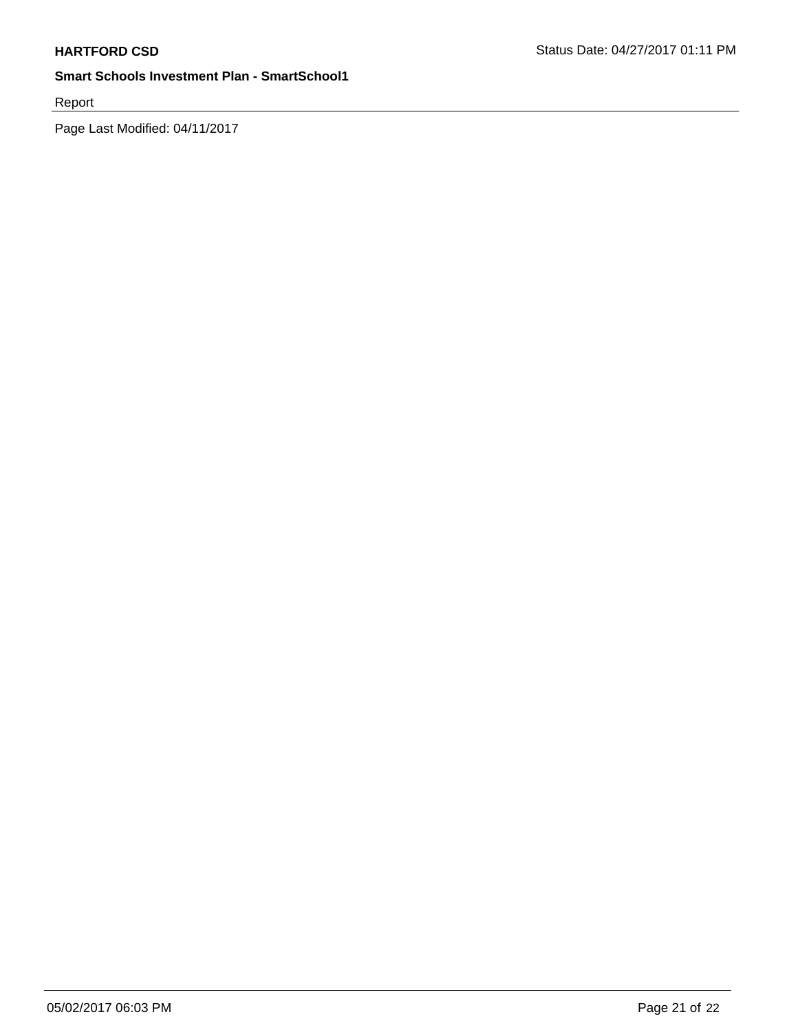Report

Page Last Modified: 04/11/2017